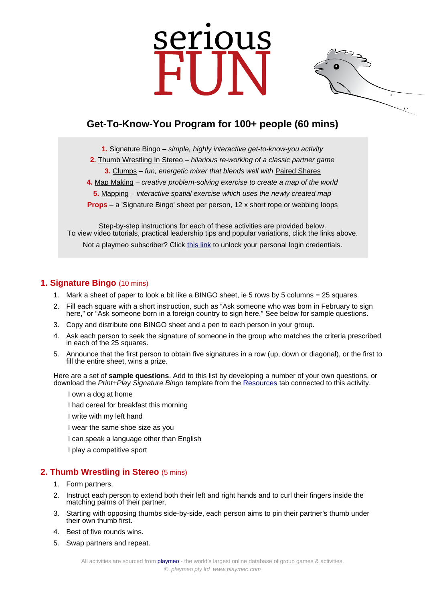# serious



# **Get-To-Know-You Program for 100+ people (60 mins)**

**1.** [Signature Bingo](https://www.playmeo.com/activities/ice-breaker-get-to-know-you-games/signature-bingo/) – simple, highly interactive get-to-know-you activity

- **2.** [Thumb Wrestling In Stereo](https://www.playmeo.com/activities/energizer-warm-up-games/thumb-wrestling-in-stereo/) hilarious re-working of a classic partner game
	- **3.** [Clumps](https://www.playmeo.com/activities/ice-breaker-get-to-know-you-games/clumps/) fun, energetic mixer that blends well with [Paired Shares](https://www.playmeo.com/activities/ice-breaker-get-to-know-you-games/paired-shares/)

**4.** [Map Making](https://www.playmeo.com/activities/team-building-problem-solving-activities/map-making/) – creative problem-solving exercise to create a map of the world

**5.** [Mapping](https://www.playmeo.com/activities/ice-breaker-get-to-know-you-games/mapping/) – interactive spatial exercise which uses the newly created map

**Props** – a 'Signature Bingo' sheet per person, 12 x short rope or webbing loops

Step-by-step instructions for each of these activities are provided below. To view video tutorials, practical leadership tips and popular variations, click the links above. Not a playmeo subscriber? Click [this link](http://www.playmeo.com/serious-fun-offer) to unlock your personal login credentials.

### **1. Signature Bingo** (10 mins)

- 1. Mark a sheet of paper to look a bit like a BINGO sheet, ie 5 rows by 5 columns = 25 squares.
- 2. Fill each square with a short instruction, such as "Ask someone who was born in February to sign here," or "Ask someone born in a foreign country to sign here." See below for sample questions.
- 3. Copy and distribute one BINGO sheet and a pen to each person in your group.
- 4. Ask each person to seek the signature of someone in the group who matches the criteria prescribed in each of the 25 squares.
- 5. Announce that the first person to obtain five signatures in a row (up, down or diagonal), or the first to fill the entire sheet, wins a prize.

Here are a set of **sample questions**. Add to this list by developing a number of your own questions, or download the Print+Play Signature Bingo template from the [Resources](https://www.playmeo.com/activities/ice-breaker-get-to-know-you-games/signature-bingo/) tab connected to this activity.

I own a dog at home

I had cereal for breakfast this morning

- I write with my left hand
- I wear the same shoe size as you
- I can speak a language other than English

I play a competitive sport

### **2. Thumb Wrestling in Stereo** (5 mins)

- 1. Form partners.
- 2. Instruct each person to extend both their left and right hands and to curl their fingers inside the matching palms of their partner.
- 3. Starting with opposing thumbs side-by-side, each person aims to pin their partner's thumb under their own thumb first.
- 4. Best of five rounds wins.
- 5. Swap partners and repeat.